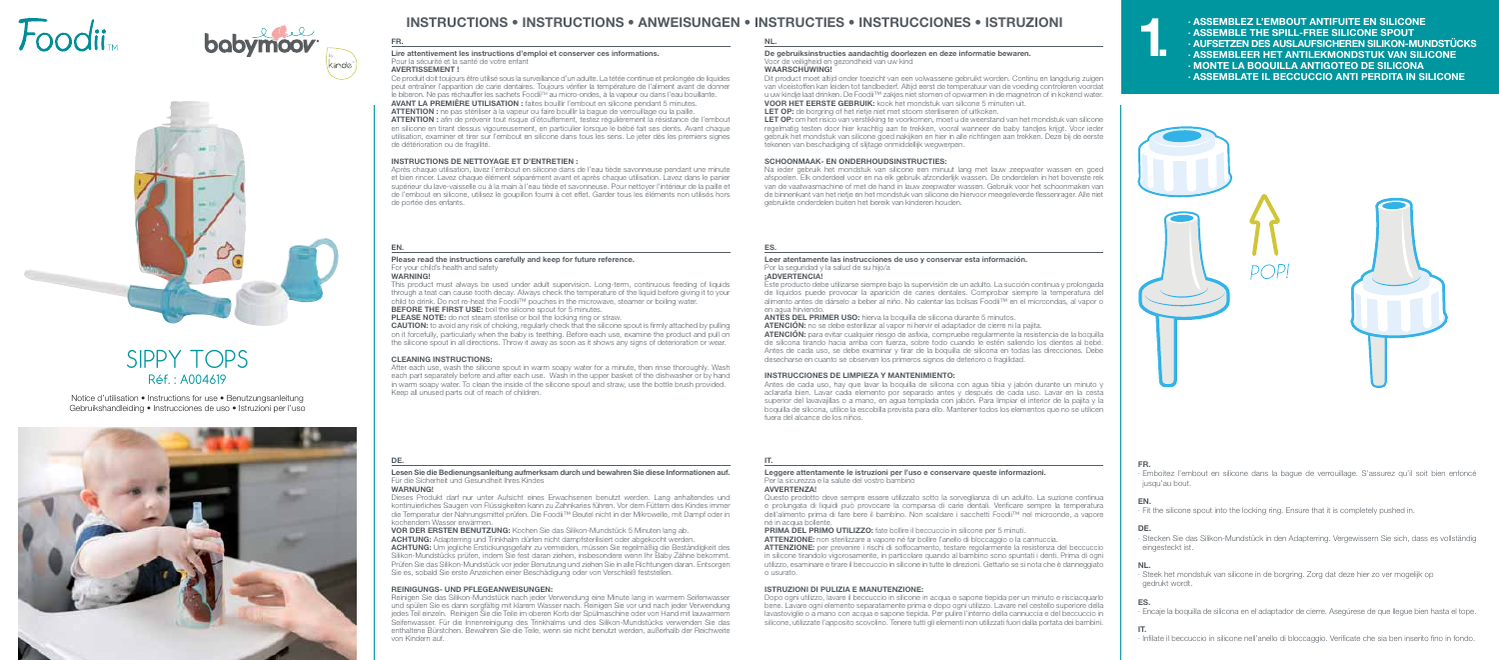FR.

∙ Emboitez l'embout en silicone dans la bague de verrouillage. S'assurez qu'il soit bien enfoncé

jusqu'au bout.

EN.

**DE.** 

∙ Fit the silicone spout into the locking ring. Ensure that it is completely pushed in.

∙ Stecken Sie das Silikon-Mundstück in den Adapterring. Vergewissern Sie sich, dass es vollständig

eingesteckt ist.

NL. ∙ Steek het mondstuk van silicone in de borgring. Zorg dat deze hier zo ver mogelijk op

gedrukt wordt.

ES.

- 
- 
- 
- 
- ∙ Encaje la boquilla de silicona en el adaptador de cierre. Asegúrese de que llegue bien hasta el tope.

## IT.

∙ Infilate il beccuccio in silicone nell'anello di bloccaggio. Verificate che sia ben inserito fino in fondo.

## FR.

## Lire attentivement les instructions d'emploi et conserver ces informations. Pour la sécurité et la santé de votre enfant

## AVERTISSEMENT !

Ce produit doit toujours être utilisé sous la surveillance d'un adulte. La tétée continue et prolongée de liquides peut entraîner l'apparition de carie dentaires. Toujours vérifier la température de l'aliment avant de donner le biberon. Ne pas réchauffer les sachets FoodiiTM au micro-ondes, à la vapeur ou dans l'eau bouillante. AVANT LA PREMIÈRE UTILISATION : faites bouillir l'embout en silicone pendant 5 minutes. ATTENTION : ne pas stériliser à la vapeur ou faire bouillir la bague de verrouillage ou la paille. ATTENTION : afin de prévenir tout risque d'étouffement, testez régulièrement la résistance de l'embout en silicone en tirant dessus vigoureusement, en particulier lorsque le bébé fait ses dents. Avant chaque utilisation, examiner et tirer sur l'embout en silicone dans tous les sens. Le jeter dès les premiers signes de détérioration ou de fragilité.

LET OP: om het risico van verstikking te voorkomen, moet u de weerstand van het mondstuk van silicone regelmatig testen door hier krachtig aan te trekken, vooral wanneer de baby tandjes krijgt. Voor ieder gebruik het mondstuk van silicone goed nakijken en hier in alle richtingen aan trekken. Deze bij de eerste tekenen van beschadiging of slijtage onmiddellijk wegwerpen.

## INSTRUCTIONS DE NETTOYAGE ET D'ENTRETIEN :

This product must always be used under adult supervision. Long-term, continuous feeding of liquids through a teat can cause tooth decay. Always check the temperature of the liquid before giving it to your child to drink. Do not re-heat the Foodii™ pouches in the microwave, steamer or boiling water. BEFORE THE FIRST USE: boil the silicone spout for 5 minutes.

PLEASE NOTE: do not steam sterilise or boil the locking ring or straw.

Après chaque utilisation, lavez l'embout en silicone dans de l'eau tiède savonneuse pendant une minute et bien rincer. Lavez chaque élément séparément avant et après chaque utilisation. Lavez dans le panier supérieur du lave-vaisselle ou à la main à l'eau tiède et savonneuse. Pour nettoyer l'intérieur de la paille et de l'embout en silicone, utilisez le goupillon fourni à cet effet. Garder tous les éléments non utilisés hors de portée des enfants.

## NL.

## De gebruiksinstructies aandachtig doorlezen en deze informatie bewaren. Voor de veiligheid en gezondheid van uw kind

### WAARSCHUWING!

Dit product moet altijd onder toezicht van een volwassene gebruikt worden. Continu en langdurig zuigen van vloeistoffen kan leiden tot tandbederf. Altijd eerst de temperatuur van de voeding controleren voordat u uw kindje laat drinken. De Foodii™ zakjes niet stomen of opwarmen in de magnetron of in kokend water. VOOR HET EERSTE GEBRUIK: kook het mondstuk van silicone 5 minuten uit.

LET OP: de borgring of het rietje niet met stoom steriliseren of uitkoken.

## SCHOONMAAK- EN ONDERHOUDSINSTRUCTIES:

Na ieder gebruik het mondstuk van silicone een minuut lang met lauw zeepwater wassen en goed afspoelen. Elk onderdeel voor en na elk gebruik afzonderlijk wassen. De onderdelen in het bovenste rek van de vaatwasmachine of met de hand in lauw zeepwater wassen. Gebruik voor het schoonmaken van de binnenkant van het rietje en het mondstuk van silicone de hiervoor meegeleverde flessenrager. Alle niet gebruikte onderdelen buiten het bereik van kinderen houden.

## EN.

## Please read the instructions carefully and keep for future reference. For your child's health and safety

## **WARNING!**

CAUTION: to avoid any risk of choking, regularly check that the silicone spout is firmly attached by pulling on it forcefully, particularly when the baby is teething. Before each use, examine the product and pull on the silicone spout in all directions. Throw it away as soon as it shows any signs of deterioration or wear.

### CLEANING INSTRUCTIONS:

After each use, wash the silicone spout in warm soapy water for a minute, then rinse thoroughly. Wash each part separately before and after each use. Wash in the upper basket of the dishwasher or by hand in warm soapy water. To clean the inside of the silicone spout and straw, use the bottle brush provided. Keep all unused parts out of reach of children.

## ES.

### Leer atentamente las instrucciones de uso y conservar esta información. Por la seguridad y la salud de su hijo/a

¡ADVERTENCIA!

Este producto debe utilizarse siempre bajo la supervisión de un adulto. La succión continua y prolongada de líquidos puede provocar la aparición de caries dentales. Comprobar siempre la temperatura del alimento antes de dárselo a beber al niño. No calentar las bolsas Foodii™ en el microondas, al vapor o en agua hirviendo.

ANTES DEL PRIMER USO: hierva la boquilla de silicona durante 5 minutos.

ATENCIÓN: no se debe esterilizar al vapor ni hervir el adaptador de cierre ni la pajita.

ATENCIÓN: para evitar cualquier riesgo de asfixia, compruebe regularmente la resistencia de la boquilla de silicona tirando hacia arriba con fuerza, sobre todo cuando le estén saliendo los dientes al bebé. Antes de cada uso, se debe examinar y tirar de la boquilla de silicona en todas las direcciones. Debe desecharse en cuanto se observen los primeros signos de deterioro o fragilidad.

## INSTRUCCIONES DE LIMPIEZA Y MANTENIMIENTO:

Antes de cada uso, hay que lavar la boquilla de silicona con agua tibia y jabón durante un minuto y aclararla bien. Lavar cada elemento por separado antes y después de cada uso. Lavar en la cesta superior del lavavajillas o a mano, en agua templada con jabón. Para limpiar el interior de la pajita y la boquilla de silicona, utilice la escobilla prevista para ello. Mantener todos los elementos que no se utilicen fuera del alcance de los niños.

## DE.

## Lesen Sie die Bedienungsanleitung aufmerksam durch und bewahren Sie diese Informationen auf. Für die Sicherheit und Gesundheit Ihres Kindes

WARNUNG!

Dieses Produkt darf nur unter Aufsicht eines Erwachsenen benutzt werden. Lang anhaltendes und kontinuierliches Saugen von Flüssigkeiten kann zu Zahnkaries führen. Vor dem Füttern des Kindes immer die Temperatur der Nahrungsmittel prüfen. Die Foodii™ Beutel nicht in der Mikrowelle, mit Dampf oder in kochendem Wasser erwärmen.

VOR DER ERSTEN BENUTZUNG: Kochen Sie das Silikon-Mundstück 5 Minuten lang ab. ACHTUNG: Adapterring und Trinkhalm dürfen nicht dampfsterilisiert oder abgekocht werden. ACHTUNG: Um jegliche Erstickungsgefahr zu vermeiden, müssen Sie regelmäßig die Beständigkeit des Silikon-Mundstücks prüfen, indem Sie fest daran ziehen, insbesondere wenn Ihr Baby Zähne bekommt. Prüfen Sie das Silikon-Mundstück vor jeder Benutzung und ziehen Sie in alle Richtungen daran. Entsorgen Sie es, sobald Sie erste Anzeichen einer Beschädigung oder von Verschleiß feststellen.

## REINIGUNGS- UND PFLEGEANWEISUNGEN:

Reinigen Sie das Silikon-Mundstück nach jeder Verwendung eine Minute lang in warmem Seifenwasser und spülen Sie es dann sorgfältig mit klarem Wasser nach. Reinigen Sie vor und nach jeder Verwendung jedes Teil einzeln. Reinigen Sie die Teile im oberen Korb der Spülmaschine oder von Hand mit lauwarmem Seifenwasser. Für die Innenreinigung des Trinkhalms und des Silikon-Mundstücks verwenden Sie das enthaltene Bürstchen. Bewahren Sie die Teile, wenn sie nicht benutzt werden, außerhalb der Reichweite von Kindern auf.

## IT.

## Leggere attentamente le istruzioni per l'uso e conservare queste informazioni. Per la sicurezza e la salute del vostro bambino

AVVERTENZA!

Questo prodotto deve sempre essere utilizzato sotto la sorveglianza di un adulto. La suzione continua e prolungata di liquidi può provocare la comparsa di carie dentali. Verificare sempre la temperatura dell'alimento prima di fare bere il bambino. Non scaldare i sacchetti Foodii™ nel microonde, a vapore né in acqua bollente.

## PRIMA DEL PRIMO UTILIZZO: fate bollire il beccuccio in silicone per 5 minuti.

ATTENZIONE: non sterilizzare a vapore né far bollire l'anello di bloccaggio o la cannuccia. ATTENZIONE: per prevenire i rischi di soffocamento, testare regolarmente la resistenza del beccuccio in silicone tirandolo vigorosamente, in particolare quando al bambino sono spuntati i denti. Prima di ogni utilizzo, esaminare e tirare il beccuccio in silicone in tutte le direzioni. Gettarlo se si nota che è danneggiato o usurato.

## ISTRUZIONI DI PULIZIA E MANUTENZIONE:

Dopo ogni utilizzo, lavare il beccuccio in silicone in acqua e sapone tiepida per un minuto e risciacquarlo bene. Lavare ogni elemento separatamente prima e dopo ogni utilizzo. Lavare nel cestello superiore della lavastoviglie o a mano con acqua e sapone tiepida. Per pulire l'interno della cannuccia e del beccuccio in silicone, utilizzate l'apposito scovolino. Tenere tutti gli elementi non utilizzati fuori dalla portata dei bambini.

- 
- 
- 
- 
- 
- 
- 
- 
- 
- 
- ∙ ASSEMBLE THE SPILL-FREE SILICONE SPOUT
- ∙ AUFSETZEN DES AUSLAUFSICHEREN SILIKON-MUNDSTÜCKS  $\mathbf{1}$ 
	- ∙ ASSEMBLEER HET ANTILEKMONDSTUK VAN SILICONE
	- ∙ MONTE LA BOQUILLA ANTIGOTEO DE SILICONA
	- ∙ ASSEMBLATE IL BECCUCCIO ANTI PERDITA IN SILICONE









# Réf. : A004619 SIPPY TOPS

Notice d'utilisation • Instructions for use • Benutzungsanleitung Gebruikshandleiding • Instrucciones de uso • Istruzioni per l'uso



# INSTRUCTIONS ® INSTRUCTIONS ® ANWEISUNGEN ® INSTRUCTIES ® INSTRUCCIONES ® ISTRUZIONI ASSEMBLEZ L'EMBOUT ANTIFUITE EN SILICONE